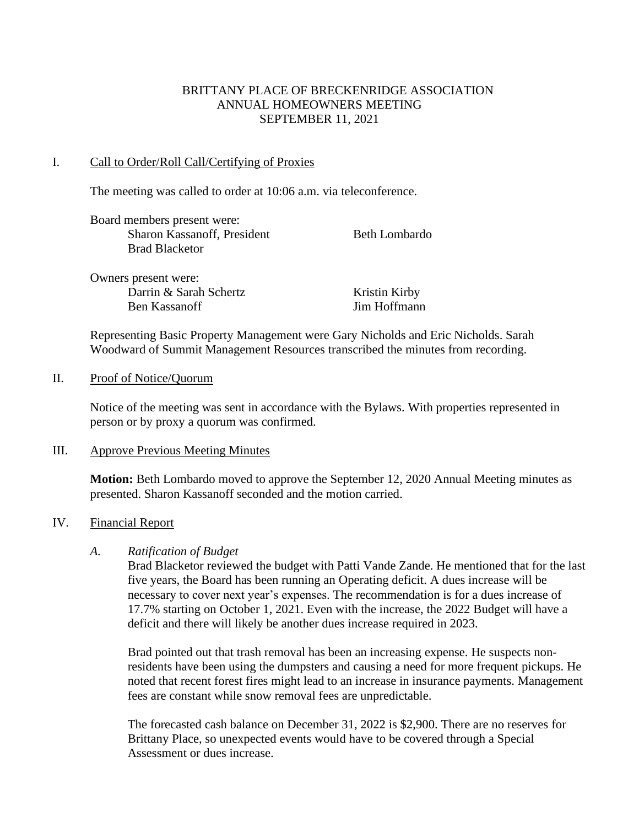## BRITTANY PLACE OF BRECKENRIDGE ASSOCIATION ANNUAL HOMEOWNERS MEETING SEPTEMBER 11, 2021

#### I. Call to Order/Roll Call/Certifying of Proxies

The meeting was called to order at 10:06 a.m. via teleconference.

| Board members present were: |               |
|-----------------------------|---------------|
| Sharon Kassanoff, President | Beth Lombardo |
| <b>Brad Blacketor</b>       |               |
|                             |               |

Owners present were: Darrin & Sarah Schertz Kristin Kirby Ben Kassanoff Jim Hoffmann

Representing Basic Property Management were Gary Nicholds and Eric Nicholds. Sarah Woodward of Summit Management Resources transcribed the minutes from recording.

#### II. Proof of Notice/Quorum

Notice of the meeting was sent in accordance with the Bylaws. With properties represented in person or by proxy a quorum was confirmed.

## III. Approve Previous Meeting Minutes

**Motion:** Beth Lombardo moved to approve the September 12, 2020 Annual Meeting minutes as presented. Sharon Kassanoff seconded and the motion carried.

## IV. Financial Report

## *A. Ratification of Budget*

Brad Blacketor reviewed the budget with Patti Vande Zande. He mentioned that for the last five years, the Board has been running an Operating deficit. A dues increase will be necessary to cover next year's expenses. The recommendation is for a dues increase of 17.7% starting on October 1, 2021. Even with the increase, the 2022 Budget will have a deficit and there will likely be another dues increase required in 2023.

Brad pointed out that trash removal has been an increasing expense. He suspects nonresidents have been using the dumpsters and causing a need for more frequent pickups. He noted that recent forest fires might lead to an increase in insurance payments. Management fees are constant while snow removal fees are unpredictable.

The forecasted cash balance on December 31, 2022 is \$2,900. There are no reserves for Brittany Place, so unexpected events would have to be covered through a Special Assessment or dues increase.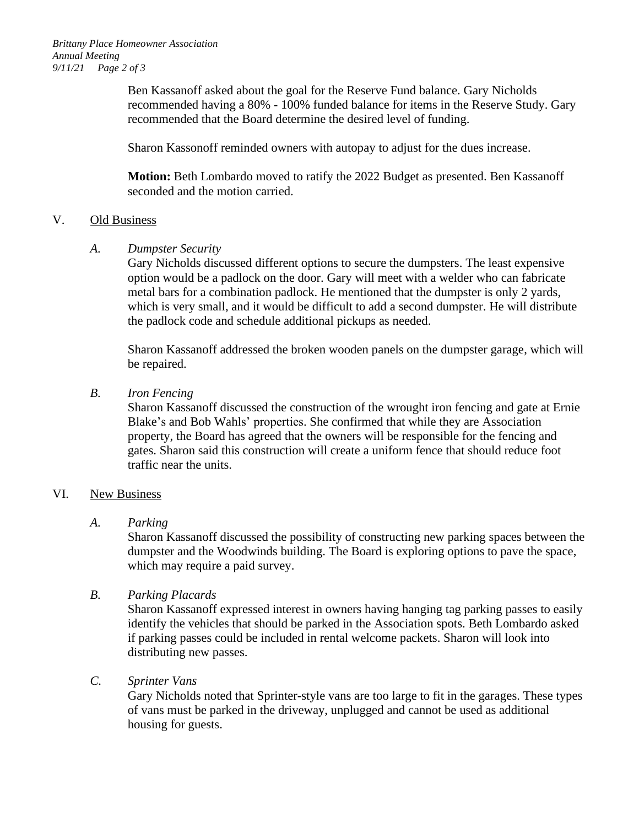Ben Kassanoff asked about the goal for the Reserve Fund balance. Gary Nicholds recommended having a 80% - 100% funded balance for items in the Reserve Study. Gary recommended that the Board determine the desired level of funding.

Sharon Kassonoff reminded owners with autopay to adjust for the dues increase.

**Motion:** Beth Lombardo moved to ratify the 2022 Budget as presented. Ben Kassanoff seconded and the motion carried.

## V. Old Business

## *A. Dumpster Security*

Gary Nicholds discussed different options to secure the dumpsters. The least expensive option would be a padlock on the door. Gary will meet with a welder who can fabricate metal bars for a combination padlock. He mentioned that the dumpster is only 2 yards, which is very small, and it would be difficult to add a second dumpster. He will distribute the padlock code and schedule additional pickups as needed.

Sharon Kassanoff addressed the broken wooden panels on the dumpster garage, which will be repaired.

## *B. Iron Fencing*

Sharon Kassanoff discussed the construction of the wrought iron fencing and gate at Ernie Blake's and Bob Wahls' properties. She confirmed that while they are Association property, the Board has agreed that the owners will be responsible for the fencing and gates. Sharon said this construction will create a uniform fence that should reduce foot traffic near the units.

## VI. New Business

# *A. Parking*

Sharon Kassanoff discussed the possibility of constructing new parking spaces between the dumpster and the Woodwinds building. The Board is exploring options to pave the space, which may require a paid survey.

# *B. Parking Placards*

Sharon Kassanoff expressed interest in owners having hanging tag parking passes to easily identify the vehicles that should be parked in the Association spots. Beth Lombardo asked if parking passes could be included in rental welcome packets. Sharon will look into distributing new passes.

# *C. Sprinter Vans*

Gary Nicholds noted that Sprinter-style vans are too large to fit in the garages. These types of vans must be parked in the driveway, unplugged and cannot be used as additional housing for guests.